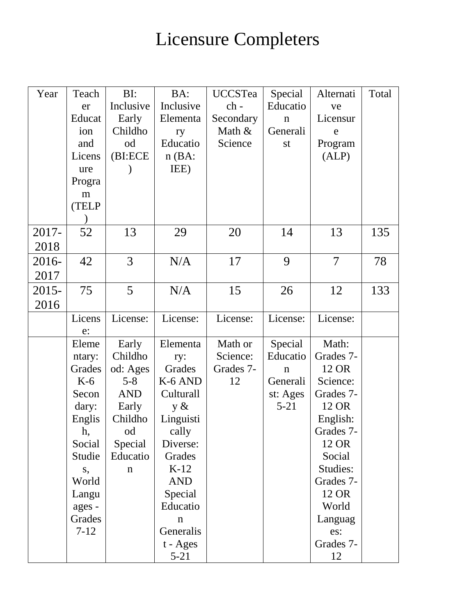## Licensure Completers

| Year     | Teach    | BI:         | BA:         | <b>UCCSTea</b> | Special     | Alternati      | Total |
|----------|----------|-------------|-------------|----------------|-------------|----------------|-------|
|          | er       | Inclusive   | Inclusive   | ch -           | Educatio    | ve             |       |
|          | Educat   | Early       | Elementa    | Secondary      | $\mathbf n$ | Licensur       |       |
|          | ion      | Childho     | ry          | Math &         | Generali    | e              |       |
|          | and      | od          | Educatio    | Science        | st          | Program        |       |
|          | Licens   | (BI:ECE     | $n$ (BA:    |                |             | (ALP)          |       |
|          | ure      |             | IEE)        |                |             |                |       |
|          | Progra   |             |             |                |             |                |       |
|          | m        |             |             |                |             |                |       |
|          | (TELP    |             |             |                |             |                |       |
|          |          |             |             |                |             |                |       |
| 2017-    | 52       | 13          | 29          | 20             | 14          | 13             | 135   |
| 2018     |          |             |             |                |             |                |       |
| 2016-    | 42       | 3           | N/A         | 17             | 9           | $\overline{7}$ | 78    |
| 2017     |          |             |             |                |             |                |       |
| $2015 -$ | 75       | 5           | N/A         | 15             | 26          | 12             | 133   |
| 2016     |          |             |             |                |             |                |       |
|          | Licens   | License:    | License:    | License:       | License:    | License:       |       |
|          | e:       |             |             |                |             |                |       |
|          | Eleme    | Early       | Elementa    | Math or        | Special     | Math:          |       |
|          | ntary:   | Childho     | ry:         | Science:       | Educatio    | Grades 7-      |       |
|          | Grades   | od: Ages    | Grades      | Grades 7-      | $\mathbf n$ | 12 OR          |       |
|          | $K-6$    | $5 - 8$     | K-6 AND     | 12             | Generali    | Science:       |       |
|          | Secon    | <b>AND</b>  | Culturall   |                | st: Ages    | Grades 7-      |       |
|          | dary:    | Early       | $y \&$      |                | $5 - 21$    | 12 OR          |       |
|          | Englis   | Childho     | Linguisti   |                |             | English:       |       |
|          | h,       | od          | cally       |                |             | Grades 7-      |       |
|          | Social   | Special     | Diverse:    |                |             | 12 OR          |       |
|          | Studie   | Educatio    | Grades      |                |             | Social         |       |
|          | S,       | $\mathbf n$ | $K-12$      |                |             | Studies:       |       |
|          | World    |             | <b>AND</b>  |                |             | Grades 7-      |       |
|          | Langu    |             | Special     |                |             | 12 OR          |       |
|          | ages -   |             | Educatio    |                |             | World          |       |
|          | Grades   |             | $\mathbf n$ |                |             | Languag        |       |
|          | $7 - 12$ |             | Generalis   |                |             | es:            |       |
|          |          |             | t - Ages    |                |             | Grades 7-      |       |
|          |          |             | $5 - 21$    |                |             | 12             |       |